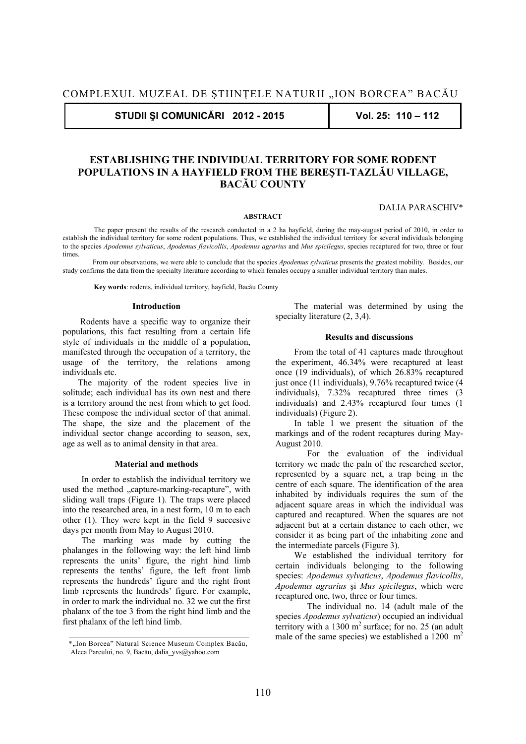**STUDII ŞI COMUNICĂRI 2012 - 2015 Vol. 25: 110 – 112** 

# **ESTABLISHING THE INDIVIDUAL TERRITORY FOR SOME RODENT POPULATIONS IN A HAYFIELD FROM THE BEREŞTI-TAZLĂU VILLAGE, BACĂU COUNTY**

### **ABSTRACT**

DALIA PARASCHIV\*

 The paper present the results of the research conducted in a 2 ha hayfield, during the may-august period of 2010, in order to establish the individual territory for some rodent populations. Thus, we established the individual territory for several individuals belonging to the species *Apodemus sylvaticus*, *Apodemus flavicollis*, *Apodemus agrarius* and *Mus spicilegus*, species recaptured for two, three or four times.

 From our observations, we were able to conclude that the species *Apodemus sylvaticus* presents the greatest mobility. Besides, our study confirms the data from the specialty literature according to which females occupy a smaller individual territory than males.

**Key words**: rodents, individual territory, hayfield, Bacău County

### **Introduction**

 Rodents have a specific way to organize their populations, this fact resulting from a certain life style of individuals in the middle of a population, manifested through the occupation of a territory, the usage of the territory, the relations among individuals etc.

 The majority of the rodent species live in solitude; each individual has its own nest and there is a territory around the nest from which to get food. These compose the individual sector of that animal. The shape, the size and the placement of the individual sector change according to season, sex, age as well as to animal density in that area.

### **Material and methods**

In order to establish the individual territory we used the method "capture-marking-recapture", with sliding wall traps (Figure 1). The traps were placed into the researched area, in a nest form, 10 m to each other (1). They were kept in the field 9 succesive days per month from May to August 2010.

The marking was made by cutting the phalanges in the following way: the left hind limb represents the units' figure, the right hind limb represents the tenths' figure, the left front limb represents the hundreds' figure and the right front limb represents the hundreds' figure. For example, in order to mark the individual no. 32 we cut the first phalanx of the toe 3 from the right hind limb and the first phalanx of the left hind limb.

The material was determined by using the specialty literature  $(2, 3, 4)$ .

### **Results and discussions**

From the total of 41 captures made throughout the experiment, 46.34% were recaptured at least once (19 individuals), of which 26.83% recaptured just once (11 individuals), 9.76% recaptured twice (4 individuals), 7.32% recaptured three times (3 individuals) and 2.43% recaptured four times (1 individuals) (Figure 2).

 In table 1 we present the situation of the markings and of the rodent recaptures during May-August 2010.

For the evaluation of the individual territory we made the paln of the researched sector, represented by a square net, a trap being in the centre of each square. The identification of the area inhabited by individuals requires the sum of the adjacent square areas in which the individual was captured and recaptured. When the squares are not adjacent but at a certain distance to each other, we consider it as being part of the inhabiting zone and the intermediate parcels (Figure 3).

 We established the individual territory for certain individuals belonging to the following species: *Apodemus sylvaticus*, *Apodemus flavicollis*, *Apodemus agrarius* şi *Mus spicilegus*, which were recaptured one, two, three or four times.

The individual no. 14 (adult male of the species *Apodemus sylvaticus*) occupied an individual territory with a  $1300 \text{ m}^2$  surface; for no. 25 (an adult male of the same species) we established a  $1200 \text{ m}^2$ 

<sup>\*&</sup>quot;Ion Borcea" Natural Science Museum Complex Bacău, Aleea Parcului, no. 9, Bacău, dalia\_yvs@yahoo.com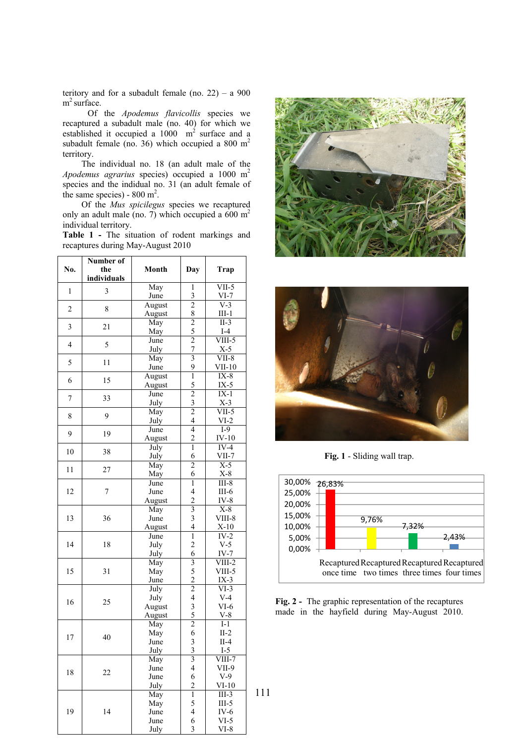teritory and for a subadult female (no.  $22$ ) – a 900  $m^2$  surface.

 Of the *Apodemus flavicollis* species we recaptured a subadult male (no. 40) for which we established it occupied a  $1000$  m<sup>2</sup> surface and a subadult female (no. 36) which occupied a 800 m<sup>2</sup> territory.

 The individual no. 18 (an adult male of the *Apodemus agrarius* species) occupied a 1000 m2 species and the indidual no. 31 (an adult female of the same species) -  $800 \text{ m}^2$ .

Of the *Mus spicilegus* species we recaptured only an adult male (no. 7) which occupied a  $600 \text{ m}^2$ individual territory.

**Table 1 -** The situation of rodent markings and recaptures during May-August 2010

| No.            | Number of<br>the<br>individuals | Month        | Day                                        | Trap            |
|----------------|---------------------------------|--------------|--------------------------------------------|-----------------|
| $\mathbf{1}$   |                                 | May          | 1                                          | $VII-5$         |
|                | 3                               | June         | $rac{3}{2}$                                | $VI-7$          |
| $\overline{c}$ | 8                               | August       |                                            | $V-3$           |
|                |                                 | August       |                                            | $III-1$         |
| 3              | 21                              | May          |                                            | $II-3$          |
|                |                                 | May          | $\frac{8}{2}$ $\frac{5}{2}$ $\frac{7}{3}$  | $I-4$           |
| $\overline{4}$ | 5                               | June         |                                            | VIII-5          |
|                |                                 | July         |                                            | $X-5$           |
| 5              | 11                              | May          |                                            | $VII-8$         |
|                |                                 | June         | 9                                          | $VII-10$        |
| 6              | 15                              | August       | $\overline{1}$                             | $IX-8$          |
|                |                                 | August       | 5                                          | $IX-5$          |
| 7              | 33                              | June         | $\overline{2}$                             | $IX-1$          |
|                |                                 | July         | $rac{3}{2}$                                | $X-3$           |
| 8              | 9                               | May          |                                            | VII-5           |
|                |                                 | July         | $\overline{\mathbf{4}}$                    | $VI-2$          |
| 9              | 19                              | June         | $\overline{4}$                             | $I-9$           |
|                |                                 | August       | $\overline{c}$                             | $IV-10$         |
| 10             | 38                              | July         | $\mathbf{1}$                               | $IV-4$          |
|                |                                 | July         | 6                                          | VII-7           |
| 11             | 27                              | May          | $\overline{c}$                             | $X-5$           |
|                |                                 | May          | 6                                          | $X-8$           |
| 12             | $\boldsymbol{7}$                | June         | $\overline{1}$                             | $III-8$         |
|                |                                 | June         | $\overline{\mathcal{L}}$                   | III- $6$        |
|                |                                 | August       | $\overline{c}$                             | $IV-8$          |
| 13             | 36                              | May          | $\overline{3}$                             | $X-8$           |
|                |                                 | June         | $\overline{\mathbf{3}}$                    | VIII-8          |
|                |                                 | August       | $\overline{\mathbf{4}}$                    | $X-10$          |
| 14             | 18                              | June         | $\overline{1}$                             | $IV-2$          |
|                |                                 | July         | $\overline{c}$                             | $V-5$           |
|                |                                 | July         | 6                                          | $IV-7$          |
| 15             | 31                              | May          | $\overline{\mathbf{3}}$                    | $VIII-2$        |
|                |                                 | May          | $\frac{5}{2}$                              | VIII-5          |
|                |                                 | June         |                                            | $IX-3$          |
| 16             | 25                              | July         | $\frac{2}{4}$                              | $VI-3$          |
|                |                                 | July         |                                            | $V-4$           |
|                |                                 | August       |                                            | $VI-6$          |
|                |                                 | August       | $\frac{3}{2}$                              | $V-8$           |
| 17             | 40                              | May          |                                            | $I-1$           |
|                |                                 | May          |                                            | $II-2$          |
|                |                                 | June         | $\begin{array}{c} 6 \\ 3 \\ 3 \end{array}$ | $II-4$<br>$I-5$ |
| 18             | 22                              | July         |                                            |                 |
|                |                                 | May          | 3<br>$\overline{\mathcal{L}}$              | VIII-7          |
|                |                                 | June<br>June | 6                                          | VII-9<br>$V-9$  |
|                |                                 | July         | $\overline{c}$                             | $VI-10$         |
| 19             | 14                              | May          | $\overline{1}$                             | $III-3$         |
|                |                                 | May          | 5                                          | $III-5$         |
|                |                                 | June         | $\overline{\mathcal{L}}$                   | $IV-6$          |
|                |                                 | June         | 6                                          | $VI-5$          |
|                |                                 | July         | $\overline{\mathbf{3}}$                    | VI-8            |
|                |                                 |              |                                            |                 |





**Fig. 1** - Sliding wall trap.



**Fig. 2 -** The graphic representation of the recaptures made in the hayfield during May-August 2010.

111